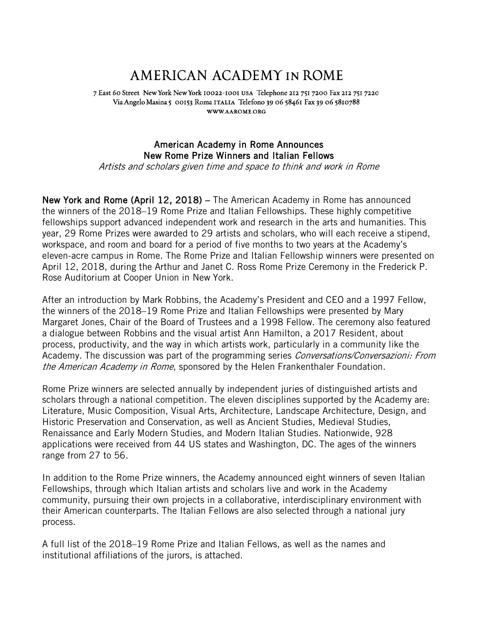## AMERICAN ACADEMY IN ROME

7 East 60 Street New York New York 10022-1001 USA Telephone 212 751 7200 Fax 212 751 7220 Via Angelo Masina 5 00153 Roma ITALIA Telefono 39 06 58461 Fax 39 06 5810788 WWW.AAROME.ORG

## American Academy in Rome Announces New Rome Prize Winners and Italian Fellows

Artists and scholars given time and space to think and work in Rome

New York and Rome (April 12, 2018) – The American Academy in Rome has announced the winners of the 2018–19 Rome Prize and Italian Fellowships. These highly competitive fellowships support advanced independent work and research in the arts and humanities. This year, 29 Rome Prizes were awarded to 29 artists and scholars, who will each receive a stipend, workspace, and room and board for a period of five months to two years at the Academy's eleven-acre campus in Rome. The Rome Prize and Italian Fellowship winners were presented on April 12, 2018, during the Arthur and Janet C. Ross Rome Prize Ceremony in the Frederick P. Rose Auditorium at Cooper Union in New York.

After an introduction by Mark Robbins, the Academy's President and CEO and a 1997 Fellow, the winners of the 2018–19 Rome Prize and Italian Fellowships were presented by Mary Margaret Jones, Chair of the Board of Trustees and a 1998 Fellow. The ceremony also featured a dialogue between Robbins and the visual artist Ann Hamilton, a 2017 Resident, about process, productivity, and the way in which artists work, particularly in a community like the Academy. The discussion was part of the programming series *Conversations/Conversazioni: From* the American Academy in Rome, sponsored by the Helen Frankenthaler Foundation.

Rome Prize winners are selected annually by independent juries of distinguished artists and scholars through a national competition. The eleven disciplines supported by the Academy are: Literature, Music Composition, Visual Arts, Architecture, Landscape Architecture, Design, and Historic Preservation and Conservation, as well as Ancient Studies, Medieval Studies, Renaissance and Early Modern Studies, and Modern Italian Studies. Nationwide, 928 applications were received from 44 US states and Washington, DC. The ages of the winners range from 27 to 56.

In addition to the Rome Prize winners, the Academy announced eight winners of seven Italian Fellowships, through which Italian artists and scholars live and work in the Academy community, pursuing their own projects in a collaborative, interdisciplinary environment with their American counterparts. The Italian Fellows are also selected through a national jury process.

A full list of the 2018–19 Rome Prize and Italian Fellows, as well as the names and institutional affiliations of the jurors, is attached.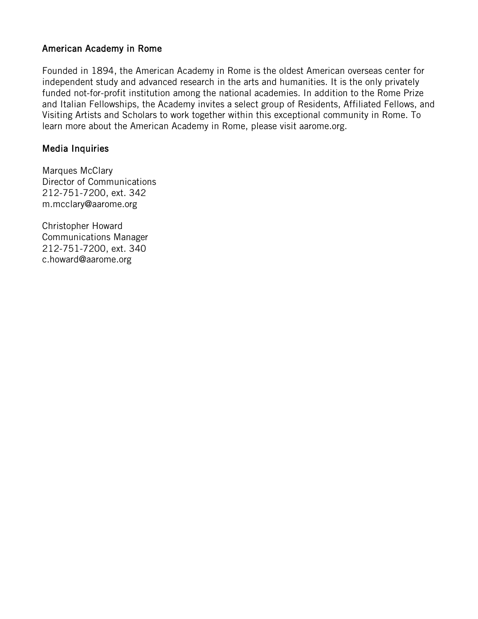## American Academy in Rome

Founded in 1894, the American Academy in Rome is the oldest American overseas center for independent study and advanced research in the arts and humanities. It is the only privately funded not-for-profit institution among the national academies. In addition to the Rome Prize and Italian Fellowships, the Academy invites a select group of Residents, Affiliated Fellows, and Visiting Artists and Scholars to work together within this exceptional community in Rome. To learn more about the American Academy in Rome, please visit aarome.org.

### Media Inquiries

Marques McClary Director of Communications 212-751-7200, ext. 342 m.mcclary@aarome.org

Christopher Howard Communications Manager 212-751-7200, ext. 340 c.howard@aarome.org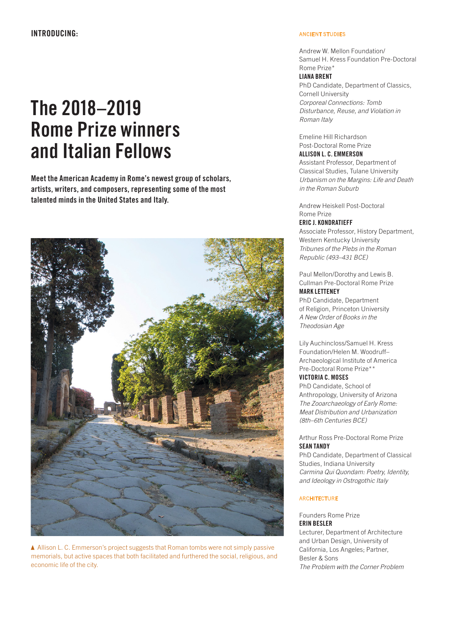# **The 2018–2019 Rome Prize winners and Italian Fellows**

**Meet the American Academy in Rome's newest group of scholars, artists, writers, and composers, representing some of the most talented minds in the United States and Italy.** 



 Allison L. C. Emmerson's project suggests that Roman tombs were not simply passive memorials, but active spaces that both facilitated and furthered the social, religious, and economic life of the city.

#### ANCIENT STUDIES

Andrew W. Mellon Foundation/ Samuel H. Kress Foundation Pre-Doctoral Rome Prize\*

#### **LIANA BRENT**

PhD Candidate, Department of Classics, Cornell University Corporeal Connections: Tomb Disturbance, Reuse, and Violation in Roman Italy

Emeline Hill Richardson Post-Doctoral Rome Prize

### **ALLISON L. C. EMMERSON**

Assistant Professor, Department of Classical Studies, Tulane University Urbanism on the Margins: Life and Death in the Roman Suburb

Andrew Heiskell Post-Doctoral Rome Prize

#### **ERIC J. KONDRATIEFF**

Associate Professor, History Department, Western Kentucky University Tribunes of the Plebs in the Roman Republic (493–431 BCE)

Paul Mellon/Dorothy and Lewis B. Cullman Pre-Doctoral Rome Prize **MARK LETTENEY** PhD Candidate, Department

of Religion, Princeton University A New Order of Books in the Theodosian Age

Lily Auchincloss/Samuel H. Kress Foundation/Helen M. Woodruff– Archaeological Institute of America Pre-Doctoral Rome Prize\*\* **VICTORIA C. MOSES**

PhD Candidate, School of Anthropology, University of Arizona The Zooarchaeology of Early Rome: Meat Distribution and Urbanization (8th–6th Centuries BCE)

#### Arthur Ross Pre-Doctoral Rome Prize **SEAN TANDY**

PhD Candidate, Department of Classical Studies, Indiana University Carmina Qui Quondam: Poetry, Identity, and Ideology in Ostrogothic Italy

#### **ARCHITECTURE**

Founders Rome Prize **ERIN BESLER** Lecturer, Department of Architecture and Urban Design, University of California, Los Angeles; Partner, Besler & Sons The Problem with the Corner Problem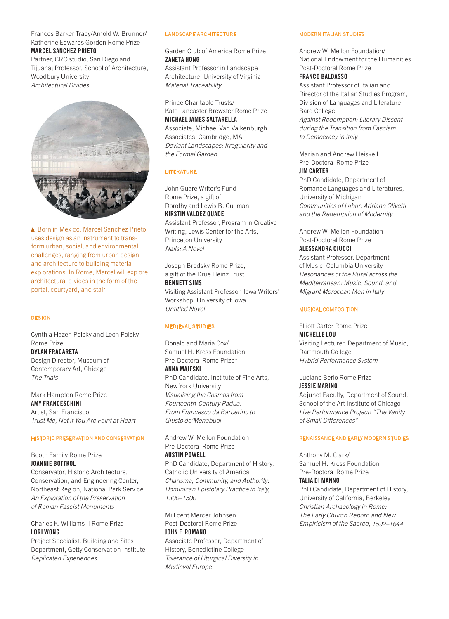#### Frances Barker Tracy/Arnold W. Brunner/ Katherine Edwards Gordon Rome Prize

#### **MARCEL SANCHEZ PRIETO**

Partner, CRO studio, San Diego and Tijuana; Professor, School of Architecture, Woodbury University Architectural Divides



▲ Born in Mexico, Marcel Sanchez Prieto uses design as an instrument to transform urban, social, and environmental challenges, ranging from urban design and architecture to building material explorations. In Rome, Marcel will explore architectural divides in the form of the portal, courtyard, and stair.

#### **DESIGN**

Cynthia Hazen Polsky and Leon Polsky Rome Prize

**DYLAN FRACARETA** Design Director, Museum of Contemporary Art, Chicago The Trials

Mark Hampton Rome Prize **AMY FRANCESCHINI** Artist, San Francisco Trust Me, Not if You Are Faint at Heart

#### HISTORIC PRESERVATION AND CONSERVATION

Booth Family Rome Prize **JOANNIE BOTTKOL**

Conservator, Historic Architecture, Conservation, and Engineering Center, Northeast Region, National Park Service An Exploration of the Preservation of Roman Fascist Monuments

Charles K. Williams II Rome Prize **LORI WONG**

Project Specialist, Building and Sites Department, Getty Conservation Institute Replicated Experiences

#### LANDSCAPE ARCHITECTURE

Garden Club of America Rome Prize **ZANETA HONG**

Assistant Professor in Landscape Architecture, University of Virginia Material Traceability

Prince Charitable Trusts/ Kate Lancaster Brewster Rome Prize **MICHAEL JAMES SALTARELLA**

Associate, Michael Van Valkenburgh Associates, Cambridge, MA Deviant Landscapes: Irregularity and the Formal Garden

#### LITERATURE

John Guare Writer's Fund Rome Prize, a gift of Dorothy and Lewis B. Cullman **KIRSTIN VALDEZ QUADE** Assistant Professor, Program in Creative

Writing, Lewis Center for the Arts, Princeton University Nails: A Novel

Joseph Brodsky Rome Prize, a gift of the Drue Heinz Trust

**BENNETT SIMS** Visiting Assistant Professor, Iowa Writers' Workshop, University of Iowa Untitled Novel

#### MEDIEVAL STUDIES

Donald and Maria Cox/ Samuel H. Kress Foundation Pre-Doctoral Rome Prize\* **ANNA MAJESKI**

PhD Candidate, Institute of Fine Arts, New York University Visualizing the Cosmos from Fourteenth-Century Padua: From Francesco da Barberino to Giusto de'Menabuoi

Andrew W. Mellon Foundation Pre-Doctoral Rome Prize **AUSTIN POWELL**

PhD Candidate, Department of History, Catholic University of America Charisma, Community, and Authority: Dominican Epistolary Practice in Italy, 1300–1500

Millicent Mercer Johnsen Post-Doctoral Rome Prize **JOHN F. ROMANO**

Associate Professor, Department of History, Benedictine College Tolerance of Liturgical Diversity in Medieval Europe

#### MODERN ITALIAN STUDIES

Andrew W. Mellon Foundation/ National Endowment for the Humanities Post-Doctoral Rome Prize

#### **FRANCO BALDASSO**

Assistant Professor of Italian and Director of the Italian Studies Program, Division of Languages and Literature, Bard College Against Redemption: Literary Dissent during the Transition from Fascism to Democracy in Italy

Marian and Andrew Heiskell Pre-Doctoral Rome Prize **JIM CARTER**

PhD Candidate, Department of Romance Languages and Literatures, University of Michigan Communities of Labor: Adriano Olivetti and the Redemption of Modernity

Andrew W. Mellon Foundation Post-Doctoral Rome Prize **ALESSANDRA CIUCCI**

Assistant Professor, Department of Music, Columbia University Resonances of the Rural across the Mediterranean: Music, Sound, and Migrant Moroccan Men in Italy

#### MUSICAL COMPOSITION

Elliott Carter Rome Prize **MICHELLE LOU** Visiting Lecturer, Department of Music, Dartmouth College Hybrid Performance System

Luciano Berio Rome Prize **JESSIE MARINO**

Adjunct Faculty, Department of Sound, School of the Art Institute of Chicago Live Performance Project: "The Vanity of Small Differences"

#### RENAISSANCE AND EARLY MODERN STUDIES

Anthony M. Clark/ Samuel H. Kress Foundation Pre-Doctoral Rome Prize **TALIA DI MANNO**

PhD Candidate, Department of History, University of California, Berkeley Christian Archaeology in Rome: The Early Church Reborn and New Empiricism of the Sacred, 1592–1644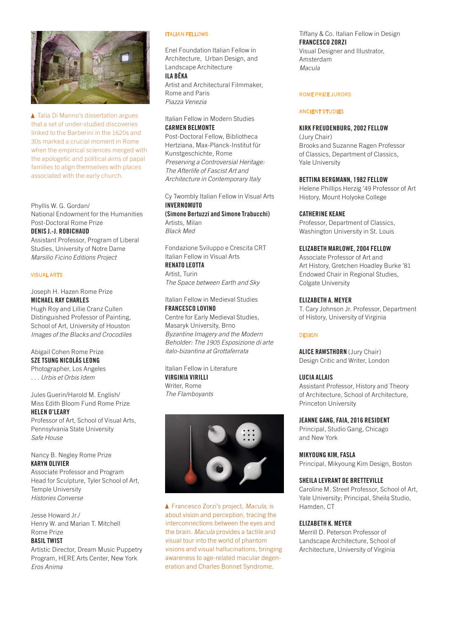

▲ Talia Di Manno's dissertation argues that a set of under-studied discoveries linked to the Barberini in the 1620s and 30s marked a crucial moment in Rome when the empirical sciences merged with the apologetic and political aims of papal families to align themselves with places associated with the early church.

Phyllis W. G. Gordan/ National Endowment for the Humanities Post-Doctoral Rome Prize

#### **DENIS J.-J. ROBICHAUD**

Assistant Professor, Program of Liberal Studies, University of Notre Dame Marsilio Ficino Editions Project

#### VISUAL ARTS

#### Joseph H. Hazen Rome Prize **MICHAEL RAY CHARLES**

Hugh Roy and Lillie Cranz Cullen Distinguished Professor of Painting, School of Art, University of Houston Images of the Blacks and Crocodiles

#### Abigail Cohen Rome Prize **SZE TSUNG NICOLÁS LEONG**

Photographer, Los Angeles . . . Urbis et Orbis Idem

#### Jules Guerin/Harold M. English/ Miss Edith Bloom Fund Rome Prize **HELEN O'LEARY**

Professor of Art, School of Visual Arts, Pennsylvania State University Safe House

#### Nancy B. Negley Rome Prize **KARYN OLIVIER**

Associate Professor and Program Head for Sculpture, Tyler School of Art, Temple University Histories Converse

Jesse Howard Jr./ Henry W. and Marian T. Mitchell Rome Prize

#### **BASIL TWIST**

Artistic Director, Dream Music Puppetry Program, HERE Arts Center, New York Eros Anima

#### ITALIAN FELLOWS

Enel Foundation Italian Fellow in Architecture, Urban Design, and Landscape Architecture

#### **ILA BÊKA**

Artist and Architectural Filmmaker, Rome and Paris Piazza Venezia

Italian Fellow in Modern Studies **CARMEN BELMONTE**

Post-Doctoral Fellow, Bibliotheca Hertziana, Max-Planck-Institut für Kunstgeschichte, Rome Preserving a Controversial Heritage: The Afterlife of Fascist Art and Architecture in Contemporary Italy

Cy Twombly Italian Fellow in Visual Arts **INVERNOMUTO (Simone Bertuzzi and Simone Trabucchi)**  Artists, Milan

Black Med

Fondazione Sviluppo e Crescita CRT Italian Fellow in Visual Arts **RENATO LEOTTA**

Artist, Turin The Space between Earth and Sky

Italian Fellow in Medieval Studies **FRANCESCO LOVINO**

Centre for Early Medieval Studies, Masaryk University, Brno Byzantine Imagery and the Modern Beholder: The 1905 Esposizione di arte italo-bizantina at Grottaferrata

Italian Fellow in Literature **VIRGINIA VIRILLI** Writer, Rome The Flamboyants



▲ Francesco Zorzi's project, Macula, is about vision and perception, tracing the interconnections between the eyes and the brain. Macula provides a tactile and visual tour into the world of phantom visions and visual hallucinations, bringing awareness to age-related macular degeneration and Charles Bonnet Syndrome.

Tiffany & Co. Italian Fellow in Design **FRANCESCO ZORZI** Visual Designer and Illustrator, Amsterdam Macula

#### ROME PRIZE JURORS

#### ANCIENT STUDIES

#### **KIRK FREUDENBURG, 2002 FELLOW**

(Jury Chair) Brooks and Suzanne Ragen Professor of Classics, Department of Classics, Yale University

#### **BETTINA BERGMANN, 1982 FELLOW**

Helene Phillips Herzig '49 Professor of Art History, Mount Holyoke College

#### **CATHERINE KEANE**

Professor, Department of Classics, Washington University in St. Louis

#### **ELIZABETH MARLOWE, 2004 FELLOW**

Associate Professor of Art and Art History, Gretchen Hoadley Burke '81 Endowed Chair in Regional Studies, Colgate University

#### **ELIZABETH A. MEYER**

T. Cary Johnson Jr. Professor, Department of History, University of Virginia

#### **DESIGN**

**ALICE RAWSTHORN** (Jury Chair) Design Critic and Writer, London

#### **LUCIA ALLAIS**

Assistant Professor, History and Theory of Architecture, School of Architecture, Princeton University

#### **JEANNE GANG, FAIA, 2016 RESIDENT**

Principal, Studio Gang, Chicago and New York

#### **MIKYOUNG KIM, FASLA**

Principal, Mikyoung Kim Design, Boston

#### **SHEILA LEVRANT DE BRETTEVILLE**

Caroline M. Street Professor, School of Art, Yale University; Principal, Sheila Studio, Hamden, CT

#### **ELIZABETH K. MEYER**

Merrill D. Peterson Professor of Landscape Architecture, School of Architecture, University of Virginia